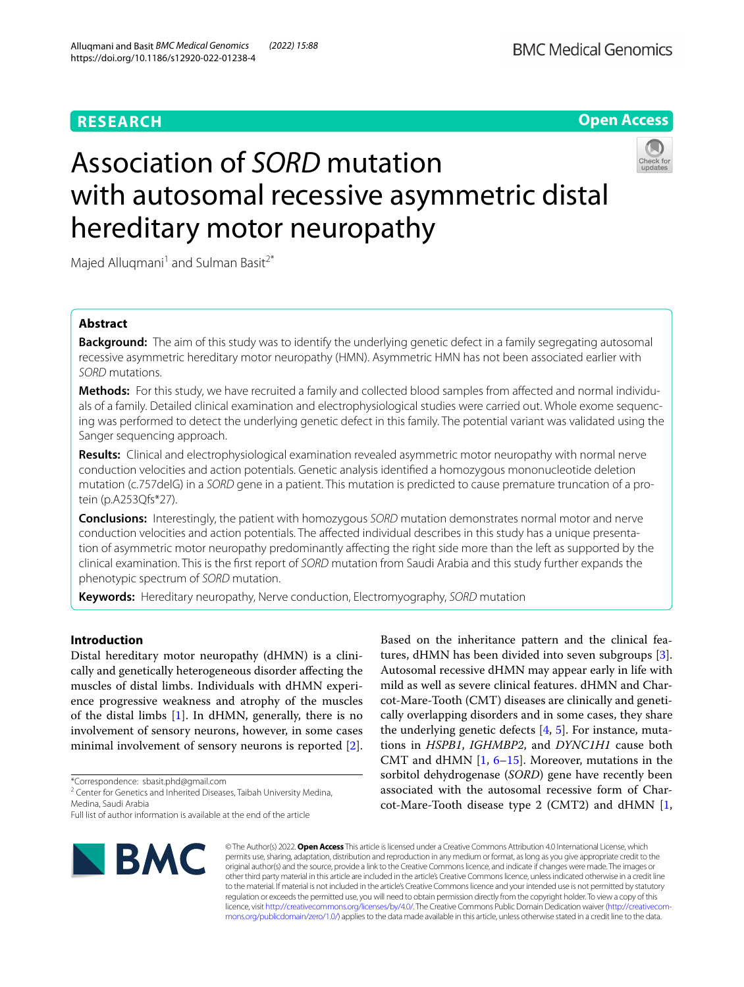

# Association of *SORD* mutation with autosomal recessive asymmetric distal hereditary motor neuropathy



Majed Alluqmani<sup>1</sup> and Sulman Basit<sup>2\*</sup>

# **Abstract**

**Background:** The aim of this study was to identify the underlying genetic defect in a family segregating autosomal recessive asymmetric hereditary motor neuropathy (HMN). Asymmetric HMN has not been associated earlier with *SORD* mutations.

**Methods:** For this study, we have recruited a family and collected blood samples from afected and normal individuals of a family. Detailed clinical examination and electrophysiological studies were carried out. Whole exome sequencing was performed to detect the underlying genetic defect in this family. The potential variant was validated using the Sanger sequencing approach.

**Results:** Clinical and electrophysiological examination revealed asymmetric motor neuropathy with normal nerve conduction velocities and action potentials. Genetic analysis identifed a homozygous mononucleotide deletion mutation (c.757delG) in a *SORD* gene in a patient. This mutation is predicted to cause premature truncation of a protein (p.A253Qfs\*27).

**Conclusions:** Interestingly, the patient with homozygous *SORD* mutation demonstrates normal motor and nerve conduction velocities and action potentials. The afected individual describes in this study has a unique presentation of asymmetric motor neuropathy predominantly afecting the right side more than the left as supported by the clinical examination. This is the frst report of *SORD* mutation from Saudi Arabia and this study further expands the phenotypic spectrum of *SORD* mutation.

**Keywords:** Hereditary neuropathy, Nerve conduction, Electromyography, *SORD* mutation

## **Introduction**

Distal hereditary motor neuropathy (dHMN) is a clinically and genetically heterogeneous disorder afecting the muscles of distal limbs. Individuals with dHMN experience progressive weakness and atrophy of the muscles of the distal limbs [\[1](#page-4-0)]. In dHMN, generally, there is no involvement of sensory neurons, however, in some cases minimal involvement of sensory neurons is reported [\[2](#page-4-1)].

\*Correspondence: sbasit.phd@gmail.com

<sup>2</sup> Center for Genetics and Inherited Diseases, Taibah University Medina, Medina, Saudi Arabia

Full list of author information is available at the end of the article



Based on the inheritance pattern and the clinical features, dHMN has been divided into seven subgroups [\[3](#page-4-2)]. Autosomal recessive dHMN may appear early in life with mild as well as severe clinical features. dHMN and Charcot-Mare-Tooth (CMT) diseases are clinically and genetically overlapping disorders and in some cases, they share the underlying genetic defects  $[4, 5]$  $[4, 5]$  $[4, 5]$  $[4, 5]$ . For instance, mutations in *HSPB1*, *IGHMBP2*, and *DYNC1H1* cause both CMT and dHMN  $[1, 6-15]$  $[1, 6-15]$  $[1, 6-15]$  $[1, 6-15]$  $[1, 6-15]$  $[1, 6-15]$ . Moreover, mutations in the sorbitol dehydrogenase (*SORD*) gene have recently been associated with the autosomal recessive form of Charcot-Mare-Tooth disease type 2 (CMT2) and dHMN [\[1](#page-4-0),

© The Author(s) 2022. **Open Access** This article is licensed under a Creative Commons Attribution 4.0 International License, which permits use, sharing, adaptation, distribution and reproduction in any medium or format, as long as you give appropriate credit to the original author(s) and the source, provide a link to the Creative Commons licence, and indicate if changes were made. The images or other third party material in this article are included in the article's Creative Commons licence, unless indicated otherwise in a credit line to the material. If material is not included in the article's Creative Commons licence and your intended use is not permitted by statutory regulation or exceeds the permitted use, you will need to obtain permission directly from the copyright holder. To view a copy of this licence, visit [http://creativecommons.org/licenses/by/4.0/.](http://creativecommons.org/licenses/by/4.0/) The Creative Commons Public Domain Dedication waiver ([http://creativecom](http://creativecommons.org/publicdomain/zero/1.0/)[mons.org/publicdomain/zero/1.0/\)](http://creativecommons.org/publicdomain/zero/1.0/) applies to the data made available in this article, unless otherwise stated in a credit line to the data.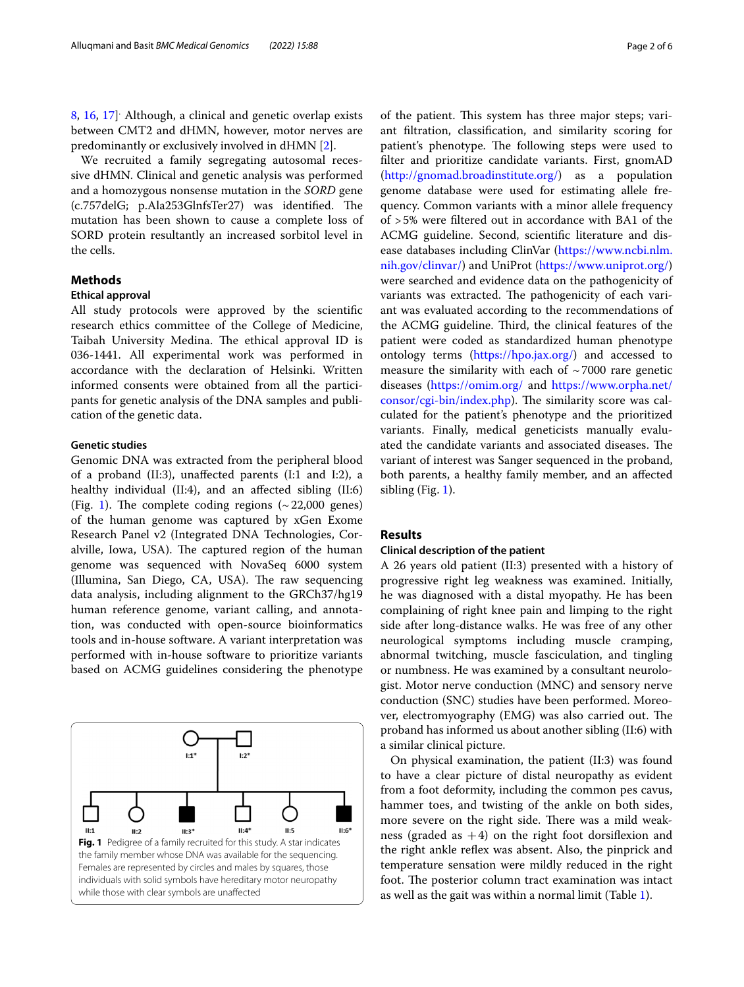[8,](#page-4-7) [16,](#page-4-8) [17\]](#page-4-9) . Although, a clinical and genetic overlap exists between CMT2 and dHMN, however, motor nerves are predominantly or exclusively involved in dHMN [[2\]](#page-4-1).

We recruited a family segregating autosomal recessive dHMN. Clinical and genetic analysis was performed and a homozygous nonsense mutation in the *SORD* gene (c.757delG; p.Ala253GlnfsTer27) was identified. The mutation has been shown to cause a complete loss of SORD protein resultantly an increased sorbitol level in the cells.

## **Methods**

#### **Ethical approval**

All study protocols were approved by the scientifc research ethics committee of the College of Medicine, Taibah University Medina. The ethical approval ID is 036-1441. All experimental work was performed in accordance with the declaration of Helsinki. Written informed consents were obtained from all the participants for genetic analysis of the DNA samples and publication of the genetic data.

## **Genetic studies**

Genomic DNA was extracted from the peripheral blood of a proband (II:3), unafected parents (I:1 and I:2), a healthy individual (II:4), and an afected sibling (II:6) (Fig. [1](#page-1-0)). The complete coding regions  $({\sim}22,000$  genes) of the human genome was captured by xGen Exome Research Panel v2 (Integrated DNA Technologies, Coralville, Iowa, USA). The captured region of the human genome was sequenced with NovaSeq 6000 system (Illumina, San Diego, CA, USA). The raw sequencing data analysis, including alignment to the GRCh37/hg19 human reference genome, variant calling, and annotation, was conducted with open-source bioinformatics tools and in-house software. A variant interpretation was performed with in-house software to prioritize variants based on ACMG guidelines considering the phenotype

<span id="page-1-0"></span>

of the patient. This system has three major steps; variant fltration, classifcation, and similarity scoring for patient's phenotype. The following steps were used to flter and prioritize candidate variants. First, gnomAD ([http://gnomad.broadinstitute.org/\)](http://gnomad.broadinstitute.org/) as a population genome database were used for estimating allele frequency. Common variants with a minor allele frequency of >5% were fltered out in accordance with BA1 of the ACMG guideline. Second, scientifc literature and disease databases including ClinVar ([https://www.ncbi.nlm.](https://www.ncbi.nlm.nih.gov/clinvar/) [nih.gov/clinvar/\)](https://www.ncbi.nlm.nih.gov/clinvar/) and UniProt (<https://www.uniprot.org/>) were searched and evidence data on the pathogenicity of variants was extracted. The pathogenicity of each variant was evaluated according to the recommendations of the ACMG guideline. Third, the clinical features of the patient were coded as standardized human phenotype ontology terms [\(https://hpo.jax.org/](https://hpo.jax.org/)) and accessed to measure the similarity with each of  $\sim$  7000 rare genetic diseases (<https://omim.org/>and [https://www.orpha.net/](https://www.orpha.net/consor/cgi-bin/index.php) [consor/cgi-bin/index.php](https://www.orpha.net/consor/cgi-bin/index.php)). The similarity score was calculated for the patient's phenotype and the prioritized variants. Finally, medical geneticists manually evaluated the candidate variants and associated diseases. The variant of interest was Sanger sequenced in the proband, both parents, a healthy family member, and an afected sibling (Fig. [1](#page-1-0)).

## **Results**

#### **Clinical description of the patient**

A 26 years old patient (II:3) presented with a history of progressive right leg weakness was examined. Initially, he was diagnosed with a distal myopathy. He has been complaining of right knee pain and limping to the right side after long-distance walks. He was free of any other neurological symptoms including muscle cramping, abnormal twitching, muscle fasciculation, and tingling or numbness. He was examined by a consultant neurologist. Motor nerve conduction (MNC) and sensory nerve conduction (SNC) studies have been performed. Moreover, electromyography (EMG) was also carried out. The proband has informed us about another sibling (II:6) with a similar clinical picture.

On physical examination, the patient (II:3) was found to have a clear picture of distal neuropathy as evident from a foot deformity, including the common pes cavus, hammer toes, and twisting of the ankle on both sides, more severe on the right side. There was a mild weakness (graded as  $+4$ ) on the right foot dorsifiexion and the right ankle refex was absent. Also, the pinprick and temperature sensation were mildly reduced in the right foot. The posterior column tract examination was intact as well as the gait was within a normal limit (Table [1](#page-2-0)).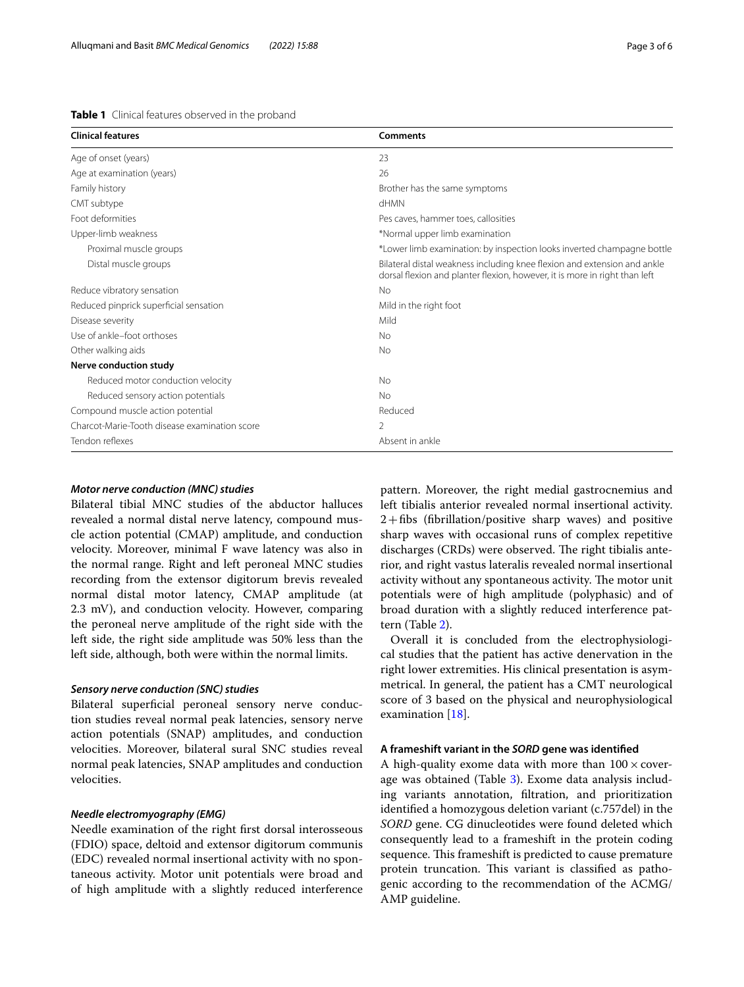<span id="page-2-0"></span>

| Table 1 Clinical features observed in the proband |  |
|---------------------------------------------------|--|
|---------------------------------------------------|--|

| Page 3 |
|--------|
|        |

| <b>Clinical features</b>                      | Comments                                                                                                                                               |
|-----------------------------------------------|--------------------------------------------------------------------------------------------------------------------------------------------------------|
| Age of onset (years)                          | 23                                                                                                                                                     |
| Age at examination (years)                    | 26                                                                                                                                                     |
| Family history                                | Brother has the same symptoms                                                                                                                          |
| CMT subtype                                   | <b>HMN</b>                                                                                                                                             |
| Foot deformities                              | Pes caves, hammer toes, callosities                                                                                                                    |
| Upper-limb weakness                           | *Normal upper limb examination                                                                                                                         |
| Proximal muscle groups                        | *Lower limb examination: by inspection looks inverted champagne bottle                                                                                 |
| Distal muscle groups                          | Bilateral distal weakness including knee flexion and extension and ankle<br>dorsal flexion and planter flexion, however, it is more in right than left |
| Reduce vibratory sensation                    | No                                                                                                                                                     |
| Reduced pinprick superficial sensation        | Mild in the right foot                                                                                                                                 |
| Disease severity                              | Mild                                                                                                                                                   |
| Use of ankle-foot orthoses                    | No                                                                                                                                                     |
| Other walking aids                            | <b>No</b>                                                                                                                                              |
| Nerve conduction study                        |                                                                                                                                                        |
| Reduced motor conduction velocity             | <b>No</b>                                                                                                                                              |
| Reduced sensory action potentials             | <b>No</b>                                                                                                                                              |
| Compound muscle action potential              | Reduced                                                                                                                                                |
| Charcot-Marie-Tooth disease examination score |                                                                                                                                                        |
| Tendon reflexes                               | Absent in ankle                                                                                                                                        |

## *Motor nerve conduction (MNC) studies*

Bilateral tibial MNC studies of the abductor halluces revealed a normal distal nerve latency, compound muscle action potential (CMAP) amplitude, and conduction velocity. Moreover, minimal F wave latency was also in the normal range. Right and left peroneal MNC studies recording from the extensor digitorum brevis revealed normal distal motor latency, CMAP amplitude (at 2.3 mV), and conduction velocity. However, comparing the peroneal nerve amplitude of the right side with the left side, the right side amplitude was 50% less than the left side, although, both were within the normal limits.

#### *Sensory nerve conduction (SNC) studies*

Bilateral superficial peroneal sensory nerve conduction studies reveal normal peak latencies, sensory nerve action potentials (SNAP) amplitudes, and conduction velocities. Moreover, bilateral sural SNC studies reveal normal peak latencies, SNAP amplitudes and conduction velocities.

## *Needle electromyography (EMG)*

Needle examination of the right frst dorsal interosseous (FDIO) space, deltoid and extensor digitorum communis (EDC) revealed normal insertional activity with no spontaneous activity. Motor unit potentials were broad and of high amplitude with a slightly reduced interference pattern. Moreover, the right medial gastrocnemius and left tibialis anterior revealed normal insertional activity.  $2 + fibs$  (fibrillation/positive sharp waves) and positive sharp waves with occasional runs of complex repetitive discharges (CRDs) were observed. The right tibialis anterior, and right vastus lateralis revealed normal insertional activity without any spontaneous activity. The motor unit potentials were of high amplitude (polyphasic) and of broad duration with a slightly reduced interference pattern (Table [2\)](#page-3-0).

Overall it is concluded from the electrophysiological studies that the patient has active denervation in the right lower extremities. His clinical presentation is asymmetrical. In general, the patient has a CMT neurological score of 3 based on the physical and neurophysiological examination [\[18\]](#page-4-10).

## **A frameshift variant in the** *SORD* **gene was identifed**

A high-quality exome data with more than  $100 \times$  coverage was obtained (Table [3](#page-3-1)). Exome data analysis including variants annotation, fltration, and prioritization identifed a homozygous deletion variant (c.757del) in the *SORD* gene. CG dinucleotides were found deleted which consequently lead to a frameshift in the protein coding sequence. This frameshift is predicted to cause premature protein truncation. This variant is classified as pathogenic according to the recommendation of the ACMG/ AMP guideline.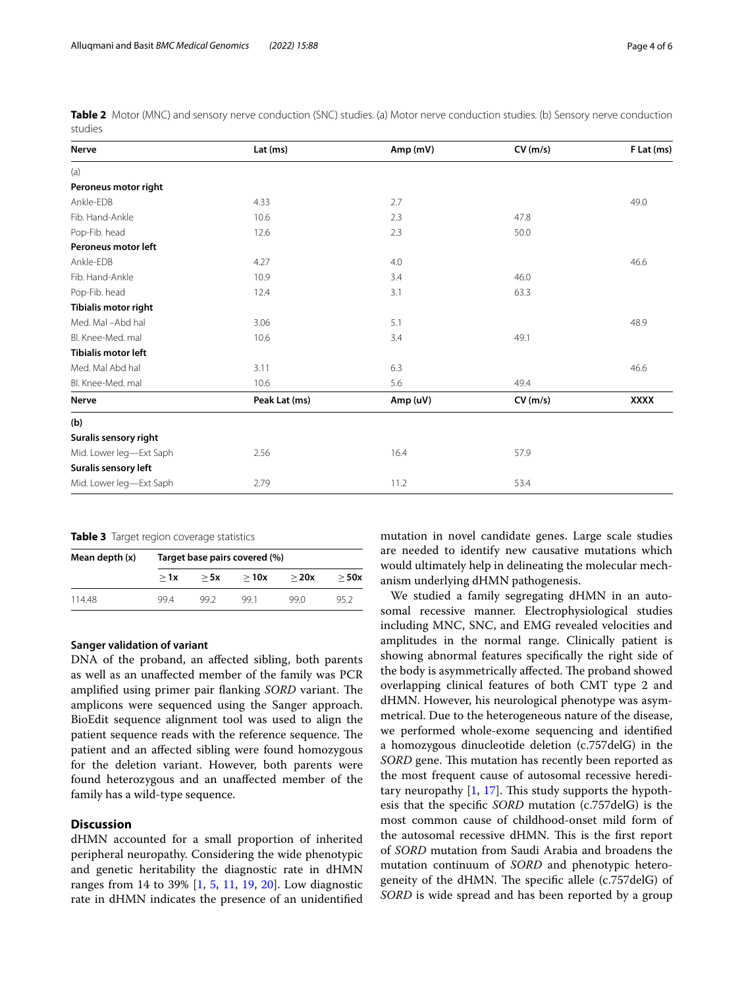<span id="page-3-0"></span>**Table 2** Motor (MNC) and sensory nerve conduction (SNC) studies. (a) Motor nerve conduction studies. (b) Sensory nerve conduction studies

| <b>Nerve</b>                | Lat (ms)      | Amp(mV)  | CV(m/s) | F Lat (ms)  |
|-----------------------------|---------------|----------|---------|-------------|
| (a)                         |               |          |         |             |
| Peroneus motor right        |               |          |         |             |
| Ankle-EDB                   | 4.33          | 2.7      |         | 49.0        |
| Fib. Hand-Ankle             | 10.6          | 2.3      | 47.8    |             |
| Pop-Fib. head               | 12.6          | 2.3      | 50.0    |             |
| Peroneus motor left         |               |          |         |             |
| Ankle-EDB                   | 4.27          | 4.0      |         | 46.6        |
| Fib. Hand-Ankle             | 10.9          | 3.4      | 46.0    |             |
| Pop-Fib. head               | 12.4          | 3.1      | 63.3    |             |
| <b>Tibialis motor right</b> |               |          |         |             |
| Med. Mal-Abd hal            | 3.06          | 5.1      |         | 48.9        |
| Bl. Knee-Med. mal           | 10.6          | 3.4      | 49.1    |             |
| <b>Tibialis motor left</b>  |               |          |         |             |
| Med. Mal Abd hal            | 3.11          | 6.3      |         | 46.6        |
| Bl. Knee-Med. mal           | 10.6          | 5.6      | 49.4    |             |
| <b>Nerve</b>                | Peak Lat (ms) | Amp (uV) | CV(m/s) | <b>XXXX</b> |
| (b)                         |               |          |         |             |
| Suralis sensory right       |               |          |         |             |
| Mid. Lower leg-Ext Saph     | 2.56          | 16.4     | 57.9    |             |
| Suralis sensory left        |               |          |         |             |
| Mid. Lower leg-Ext Saph     | 2.79          | 11.2     | 53.4    |             |

<span id="page-3-1"></span>**Table 3** Target region coverage statistics

| Mean depth (x) | Target base pairs covered (%) |      |      |      |      |  |
|----------------|-------------------------------|------|------|------|------|--|
|                | >1x                           | > 5x | >10x | >20x | >50x |  |
| 11448          | 994                           | 99.2 | 99 1 | 99 N | 95 2 |  |

## **Sanger validation of variant**

DNA of the proband, an afected sibling, both parents as well as an unafected member of the family was PCR amplified using primer pair flanking *SORD* variant. The amplicons were sequenced using the Sanger approach. BioEdit sequence alignment tool was used to align the patient sequence reads with the reference sequence. The patient and an afected sibling were found homozygous for the deletion variant. However, both parents were found heterozygous and an unafected member of the family has a wild-type sequence.

## **Discussion**

dHMN accounted for a small proportion of inherited peripheral neuropathy. Considering the wide phenotypic and genetic heritability the diagnostic rate in dHMN ranges from 14 to 39% [[1,](#page-4-0) [5](#page-4-4), [11](#page-4-11), [19,](#page-4-12) [20\]](#page-4-13). Low diagnostic rate in dHMN indicates the presence of an unidentifed mutation in novel candidate genes. Large scale studies are needed to identify new causative mutations which would ultimately help in delineating the molecular mechanism underlying dHMN pathogenesis.

We studied a family segregating dHMN in an autosomal recessive manner. Electrophysiological studies including MNC, SNC, and EMG revealed velocities and amplitudes in the normal range. Clinically patient is showing abnormal features specifcally the right side of the body is asymmetrically affected. The proband showed overlapping clinical features of both CMT type 2 and dHMN. However, his neurological phenotype was asymmetrical. Due to the heterogeneous nature of the disease, we performed whole-exome sequencing and identifed a homozygous dinucleotide deletion (c.757delG) in the *SORD* gene. This mutation has recently been reported as the most frequent cause of autosomal recessive hereditary neuropathy  $[1, 17]$  $[1, 17]$  $[1, 17]$  $[1, 17]$ . This study supports the hypothesis that the specifc *SORD* mutation (c.757delG) is the most common cause of childhood-onset mild form of the autosomal recessive dHMN. This is the first report of *SORD* mutation from Saudi Arabia and broadens the mutation continuum of *SORD* and phenotypic heterogeneity of the dHMN. The specific allele (c.757delG) of *SORD* is wide spread and has been reported by a group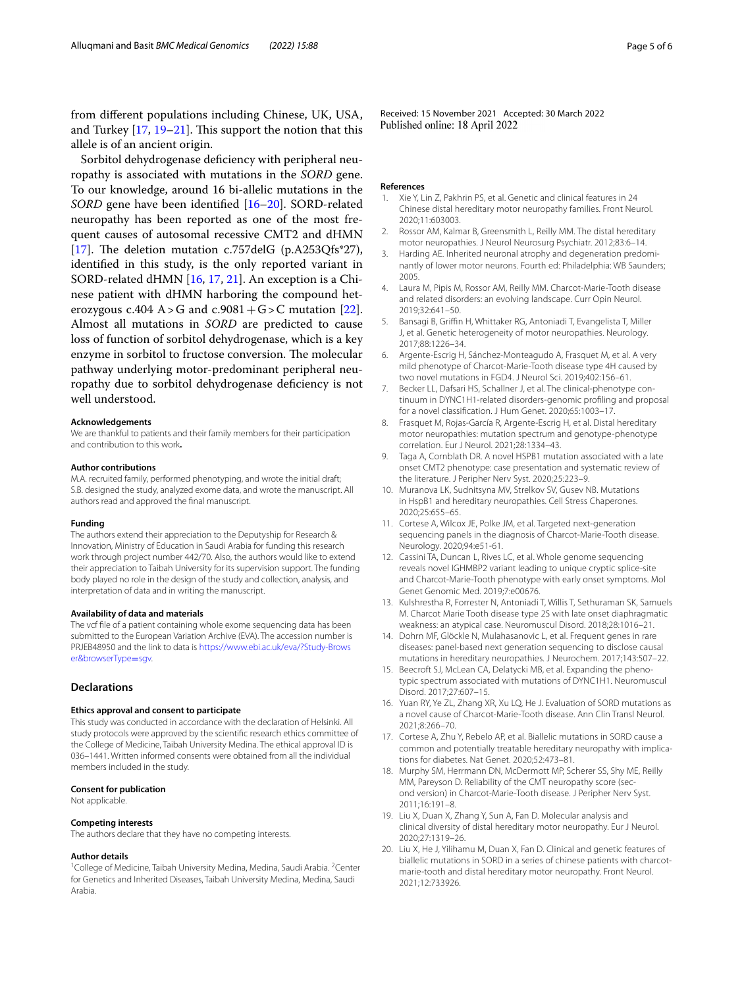from diferent populations including Chinese, UK, USA, and Turkey  $[17, 19-21]$  $[17, 19-21]$  $[17, 19-21]$  $[17, 19-21]$ . This support the notion that this allele is of an ancient origin.

Sorbitol dehydrogenase defciency with peripheral neuropathy is associated with mutations in the *SORD* gene. To our knowledge, around 16 bi-allelic mutations in the *SORD* gene have been identifed [\[16](#page-4-8)[–20\]](#page-4-13). SORD-related neuropathy has been reported as one of the most frequent causes of autosomal recessive CMT2 and dHMN [[17\]](#page-4-9). The deletion mutation c.757delG (p.A253Qfs\*27), identifed in this study, is the only reported variant in SORD-related dHMN [\[16](#page-4-8), [17,](#page-4-9) [21](#page-5-0)]. An exception is a Chinese patient with dHMN harboring the compound het-erozygous c.404 A > G and c.9081 + G > C mutation [\[22](#page-5-1)]. Almost all mutations in *SORD* are predicted to cause loss of function of sorbitol dehydrogenase, which is a key enzyme in sorbitol to fructose conversion. The molecular pathway underlying motor-predominant peripheral neuropathy due to sorbitol dehydrogenase defciency is not well understood.

#### **Acknowledgements**

We are thankful to patients and their family members for their participation and contribution to this work**.**

#### **Author contributions**

M.A. recruited family, performed phenotyping, and wrote the initial draft; S.B. designed the study, analyzed exome data, and wrote the manuscript. All authors read and approved the fnal manuscript.

#### **Funding**

The authors extend their appreciation to the Deputyship for Research & Innovation, Ministry of Education in Saudi Arabia for funding this research work through project number 442/70. Also, the authors would like to extend their appreciation to Taibah University for its supervision support. The funding body played no role in the design of the study and collection, analysis, and interpretation of data and in writing the manuscript.

#### **Availability of data and materials**

The vcf fle of a patient containing whole exome sequencing data has been submitted to the European Variation Archive (EVA). The accession number is PRJEB48950 and the link to data is [https://www.ebi.ac.uk/eva/?Study-Brows](https://www.ebi.ac.uk/eva/?Study-Browser&browserType=sgv) [er&browserType](https://www.ebi.ac.uk/eva/?Study-Browser&browserType=sgv)=sgv.

#### **Declarations**

#### **Ethics approval and consent to participate**

This study was conducted in accordance with the declaration of Helsinki. All study protocols were approved by the scientifc research ethics committee of the College of Medicine, Taibah University Medina. The ethical approval ID is 036–1441. Written informed consents were obtained from all the individual members included in the study.

#### **Consent for publication**

Not applicable.

#### **Competing interests**

The authors declare that they have no competing interests.

#### **Author details**

<sup>1</sup> College of Medicine, Taibah University Medina, Medina, Saudi Arabia. <sup>2</sup> Center for Genetics and Inherited Diseases, Taibah University Medina, Medina, Saudi Arabia.

Received: 15 November 2021 Accepted: 30 March 2022 Published online: 18 April 2022

#### **References**

- <span id="page-4-0"></span>1. Xie Y, Lin Z, Pakhrin PS, et al. Genetic and clinical features in 24 Chinese distal hereditary motor neuropathy families. Front Neurol. 2020;11:603003.
- <span id="page-4-1"></span>2. Rossor AM, Kalmar B, Greensmith L, Reilly MM. The distal hereditary motor neuropathies. J Neurol Neurosurg Psychiatr. 2012;83:6–14.
- <span id="page-4-2"></span>3. Harding AE. Inherited neuronal atrophy and degeneration predominantly of lower motor neurons. Fourth ed: Philadelphia: WB Saunders; 2005.
- <span id="page-4-3"></span>4. Laura M, Pipis M, Rossor AM, Reilly MM. Charcot-Marie-Tooth disease and related disorders: an evolving landscape. Curr Opin Neurol. 2019;32:641–50.
- <span id="page-4-4"></span>Bansagi B, Griffin H, Whittaker RG, Antoniadi T, Evangelista T, Miller J, et al. Genetic heterogeneity of motor neuropathies. Neurology. 2017;88:1226–34.
- <span id="page-4-5"></span>6. Argente-Escrig H, Sánchez-Monteagudo A, Frasquet M, et al. A very mild phenotype of Charcot-Marie-Tooth disease type 4H caused by two novel mutations in FGD4. J Neurol Sci. 2019;402:156–61.
- 7. Becker LL, Dafsari HS, Schallner J, et al. The clinical-phenotype continuum in DYNC1H1-related disorders-genomic profling and proposal for a novel classifcation. J Hum Genet. 2020;65:1003–17.
- <span id="page-4-7"></span>8. Frasquet M, Rojas-García R, Argente-Escrig H, et al. Distal hereditary motor neuropathies: mutation spectrum and genotype-phenotype correlation. Eur J Neurol. 2021;28:1334–43.
- 9. Taga A, Cornblath DR. A novel HSPB1 mutation associated with a late onset CMT2 phenotype: case presentation and systematic review of the literature. J Peripher Nerv Syst. 2020;25:223–9.
- 10. Muranova LK, Sudnitsyna MV, Strelkov SV, Gusev NB. Mutations in HspB1 and hereditary neuropathies. Cell Stress Chaperones. 2020;25:655–65.
- <span id="page-4-11"></span>11. Cortese A, Wilcox JE, Polke JM, et al. Targeted next-generation sequencing panels in the diagnosis of Charcot-Marie-Tooth disease. Neurology. 2020;94:e51-61.
- 12. Cassini TA, Duncan L, Rives LC, et al. Whole genome sequencing reveals novel IGHMBP2 variant leading to unique cryptic splice-site and Charcot-Marie-Tooth phenotype with early onset symptoms. Mol Genet Genomic Med. 2019;7:e00676.
- 13. Kulshrestha R, Forrester N, Antoniadi T, Willis T, Sethuraman SK, Samuels M. Charcot Marie Tooth disease type 2S with late onset diaphragmatic weakness: an atypical case. Neuromuscul Disord. 2018;28:1016–21.
- 14. Dohrn MF, Glöckle N, Mulahasanovic L, et al. Frequent genes in rare diseases: panel-based next generation sequencing to disclose causal mutations in hereditary neuropathies. J Neurochem. 2017;143:507–22.
- <span id="page-4-6"></span>15. Beecroft SJ, McLean CA, Delatycki MB, et al. Expanding the phenotypic spectrum associated with mutations of DYNC1H1. Neuromuscul Disord. 2017;27:607–15.
- <span id="page-4-8"></span>16. Yuan RY, Ye ZL, Zhang XR, Xu LQ, He J. Evaluation of SORD mutations as a novel cause of Charcot-Marie-Tooth disease. Ann Clin Transl Neurol. 2021;8:266–70.
- <span id="page-4-9"></span>17. Cortese A, Zhu Y, Rebelo AP, et al. Biallelic mutations in SORD cause a common and potentially treatable hereditary neuropathy with implications for diabetes. Nat Genet. 2020;52:473–81.
- <span id="page-4-10"></span>18. Murphy SM, Herrmann DN, McDermott MP, Scherer SS, Shy ME, Reilly MM, Pareyson D. Reliability of the CMT neuropathy score (second version) in Charcot-Marie-Tooth disease. J Peripher Nerv Syst. 2011;16:191–8.
- <span id="page-4-12"></span>19. Liu X, Duan X, Zhang Y, Sun A, Fan D. Molecular analysis and clinical diversity of distal hereditary motor neuropathy. Eur J Neurol. 2020;27:1319–26.
- <span id="page-4-13"></span>20. Liu X, He J, Yilihamu M, Duan X, Fan D. Clinical and genetic features of biallelic mutations in SORD in a series of chinese patients with charcotmarie-tooth and distal hereditary motor neuropathy. Front Neurol. 2021;12:733926.